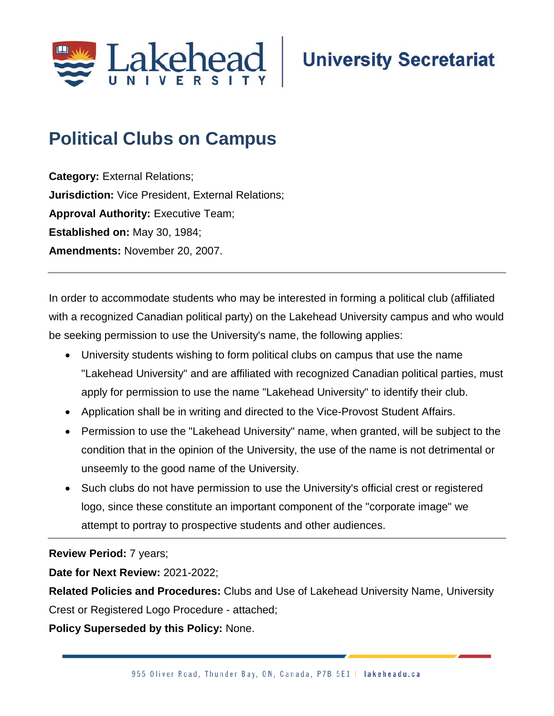

## **University Secretariat**

## **Political Clubs on Campus**

**Category:** External Relations; **Jurisdiction:** Vice President, External Relations; **Approval Authority: Executive Team; Established on:** May 30, 1984; **Amendments:** November 20, 2007.

In order to accommodate students who may be interested in forming a political club (affiliated with a recognized Canadian political party) on the Lakehead University campus and who would be seeking permission to use the University's name, the following applies:

- University students wishing to form political clubs on campus that use the name "Lakehead University" and are affiliated with recognized Canadian political parties, must apply for permission to use the name "Lakehead University" to identify their club.
- Application shall be in writing and directed to the Vice-Provost Student Affairs.
- Permission to use the "Lakehead University" name, when granted, will be subject to the condition that in the opinion of the University, the use of the name is not detrimental or unseemly to the good name of the University.
- Such clubs do not have permission to use the University's official crest or registered logo, since these constitute an important component of the "corporate image" we attempt to portray to prospective students and other audiences.

**Review Period:** 7 years;

**Date for Next Review:** 2021-2022;

**Related Policies and Procedures:** Clubs and Use of Lakehead University Name, University

Crest or Registered Logo Procedure - attached;

**Policy Superseded by this Policy:** None.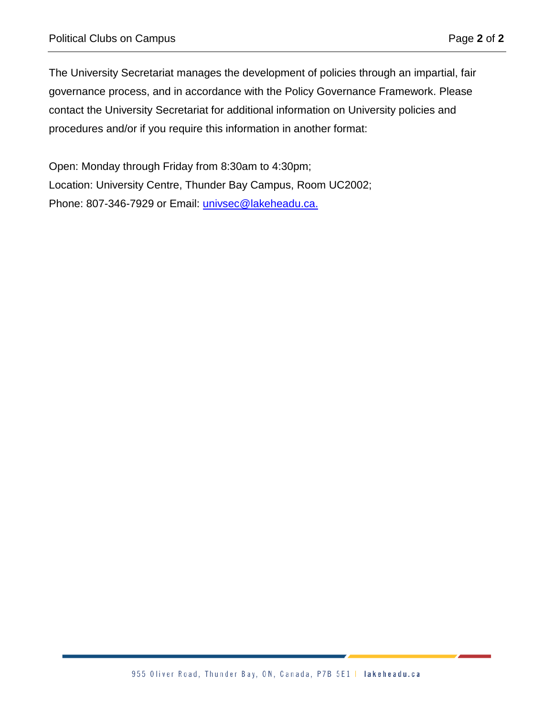The University Secretariat manages the development of policies through an impartial, fair governance process, and in accordance with the Policy Governance Framework. Please contact the University Secretariat for additional information on University policies and procedures and/or if you require this information in another format:

Open: Monday through Friday from 8:30am to 4:30pm; Location: University Centre, Thunder Bay Campus, Room UC2002; Phone: 807-346-7929 or Email: [univsec@lakeheadu.ca.](mailto:univsec@lakeheadu.ca)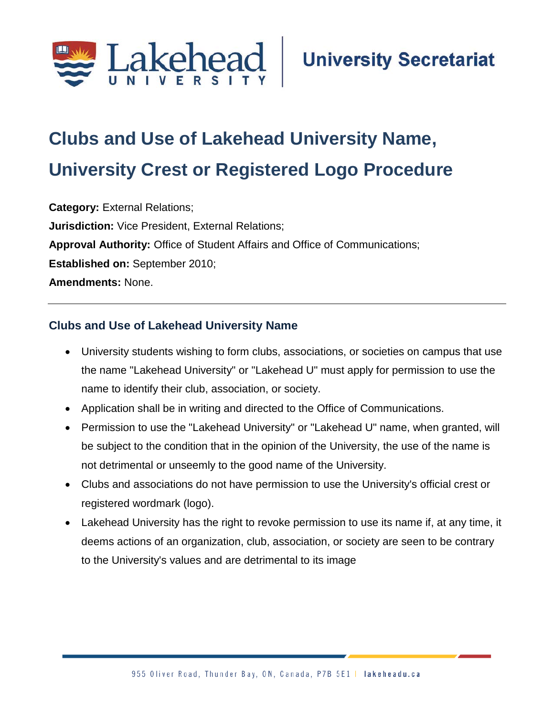

## **Clubs and Use of Lakehead University Name, University Crest or Registered Logo Procedure**

**Category:** External Relations; **Jurisdiction:** Vice President, External Relations; **Approval Authority:** Office of Student Affairs and Office of Communications; **Established on:** September 2010; **Amendments:** None.

## **Clubs and Use of Lakehead University Name**

- University students wishing to form clubs, associations, or societies on campus that use the name "Lakehead University" or "Lakehead U" must apply for permission to use the name to identify their club, association, or society.
- Application shall be in writing and directed to the Office of Communications.
- Permission to use the "Lakehead University" or "Lakehead U" name, when granted, will be subject to the condition that in the opinion of the University, the use of the name is not detrimental or unseemly to the good name of the University.
- Clubs and associations do not have permission to use the University's official crest or registered wordmark (logo).
- Lakehead University has the right to revoke permission to use its name if, at any time, it deems actions of an organization, club, association, or society are seen to be contrary to the University's values and are detrimental to its image